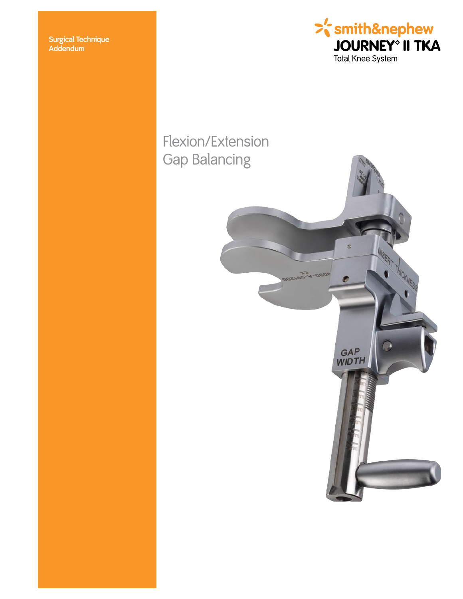**Surgical Technique Addendum**



# Flexion/Extension Gap Balancing

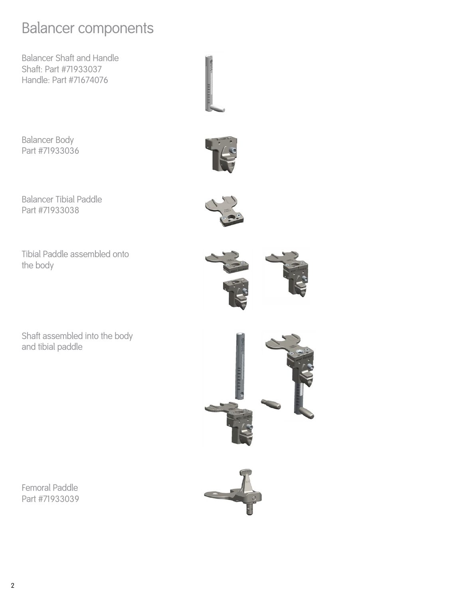# Balancer components

Balancer Shaft and Handle Shaft: Part #71933037 Handle: Part #71674076

Balancer Body Part #71933036



Tibial Paddle assembled onto the body

Shaft assembled into the body and tibial paddle

Femoral Paddle Part #71933039











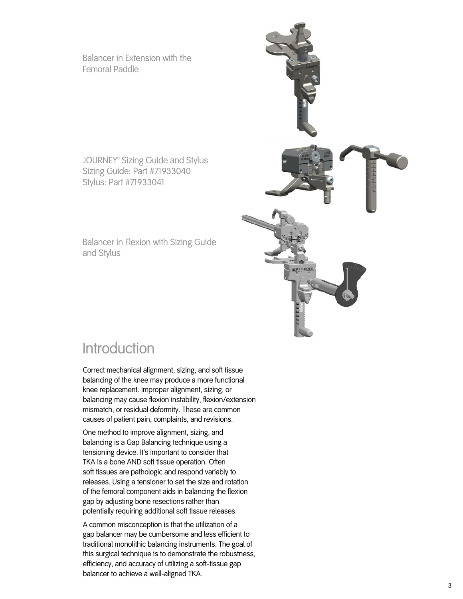Balancer in Extension with the Femoral Paddle

JOURNEY® Sizing Guide and Stylus Sizing Guide: Part #71933040 Stylus: Part #71933041

Balancer in Flexion with Sizing Guide and Stylus



### **Introduction**

Correct mechanical alignment, sizing, and soft tissue balancing of the knee may produce a more functional knee replacement. Improper alignment, sizing, or balancing may cause flexion instability, flexion/extension mismatch, or residual deformity. These are common causes of patient pain, complaints, and revisions.

One method to improve alignment, sizing, and balancing is a Gap Balancing technique using a tensioning device. It's important to consider that TKA is a bone AND soft tissue operation. Often soft tissues are pathologic and respond variably to releases. Using a tensioner to set the size and rotation of the femoral component aids in balancing the flexion gap by adjusting bone resections rather than potentially requiring additional soft tissue releases.

A common misconception is that the utilization of a gap balancer may be cumbersome and less efficient to traditional monolithic balancing instruments. The goal of this surgical technique is to demonstrate the robustness, efficiency, and accuracy of utilizing a soft-tissue gap balancer to achieve a well-aligned TKA.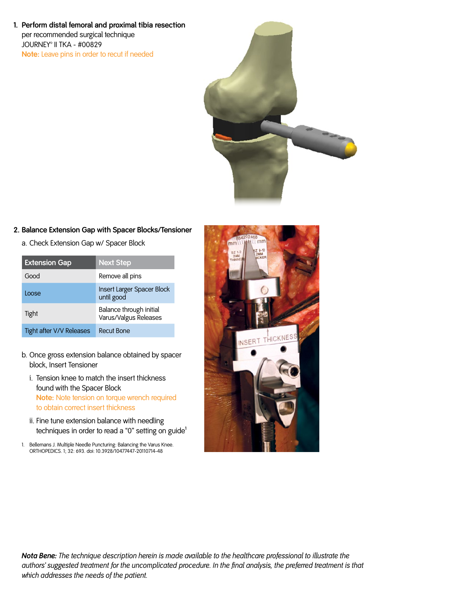**1. Perform distal femoral and proximal tibia resection**  per recommended surgical technique JOURNEY® II TKA - #00829 **Note:** Leave pins in order to recut if needed



#### **2. Balance Extension Gap with Spacer Blocks/Tensioner**

a. Check Extension Gap w/ Spacer Block

| <b>Extension Gap</b>     | <b>Next Step</b>                                 |
|--------------------------|--------------------------------------------------|
| Good                     | Remove all pins                                  |
| Loose                    | Insert Larger Spacer Block<br>until good         |
| Tight                    | Balance through initial<br>Varus/Valgus Releases |
| Tight after V/V Releases | Recut Bone                                       |

- b. Once gross extension balance obtained by spacer block, Insert Tensioner
	- i. Tension knee to match the insert thickness found with the Spacer Block **Note:** Note tension on torque wrench required to obtain correct insert thickness
	- ii. Fine tune extension balance with needling techniques in order to read a "0" setting on guide<sup>1</sup>
- 1. Bellemans J. Multiple Needle Puncturing: Balancing the Varus Knee. ORTHOPEDICS. 1; 32: 693. doi: 10.3928/10477447-20110714-48



*Nota Bene: The technique description herein is made available to the healthcare professional to illustrate the authors' suggested treatment for the uncomplicated procedure. In the final analysis, the preferred treatment is that which addresses the needs of the patient.*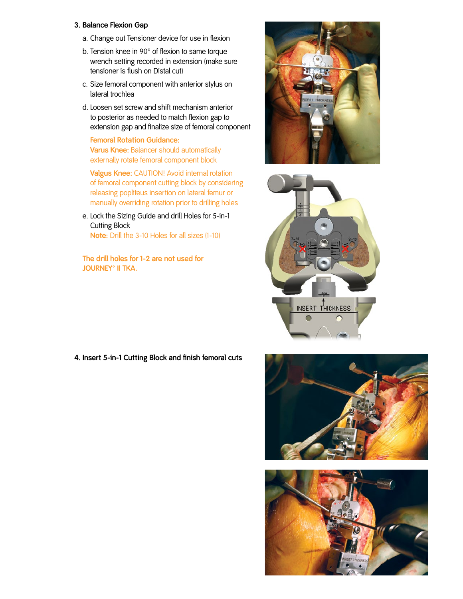#### **3. Balance Flexion Gap**

- a. Change out Tensioner device for use in flexion
- b. Tension knee in 90° of flexion to same torque wrench setting recorded in extension (make sure tensioner is flush on Distal cut)
- c. Size femoral component with anterior stylus on lateral trochlea
- d. Loosen set screw and shift mechanism anterior to posterior as needed to match flexion gap to extension gap and finalize size of femoral component

**Femoral Rotation Guidance: Varus Knee:** Balancer should automatically externally rotate femoral component block

 **Valgus Knee:** CAUTION! Avoid internal rotation of femoral component cutting block by considering releasing popliteus insertion on lateral femur or manually overriding rotation prior to drilling holes

e. Lock the Sizing Guide and drill Holes for 5-in-1 Cutting Block

**Note:** Drill the 3-10 Holes for all sizes (1-10)

**The drill holes for 1-2 are not used for**  JOURNEY<sup>®</sup> II TKA.





**4. Insert 5-in-1 Cutting Block and finish femoral cuts**



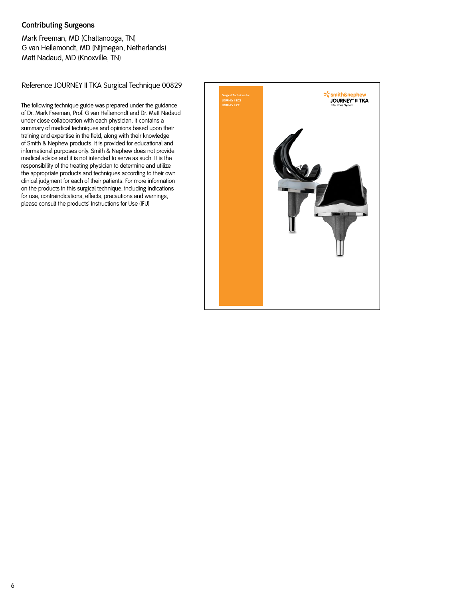#### **Contributing Surgeons**

Mark Freeman, MD (Chattanooga, TN) G van Hellemondt, MD (Nijmegen, Netherlands) Matt Nadaud, MD (Knoxville, TN)

Reference JOURNEY II TKA Surgical Technique 00829

The following technique guide was prepared under the guidance of Dr. Mark Freeman, Prof. G van Hellemondt and Dr. Matt Nadaud under close collaboration with each physician. It contains a summary of medical techniques and opinions based upon their training and expertise in the field, along with their knowledge of Smith & Nephew products. It is provided for educational and informational purposes only. Smith & Nephew does not provide medical advice and it is not intended to serve as such. It is the responsibility of the treating physician to determine and utilize the appropriate products and techniques according to their own clinical judgment for each of their patients. For more information on the products in this surgical technique, including indications for use, contraindications, effects, precautions and warnings, please consult the products' Instructions for Use (IFU)